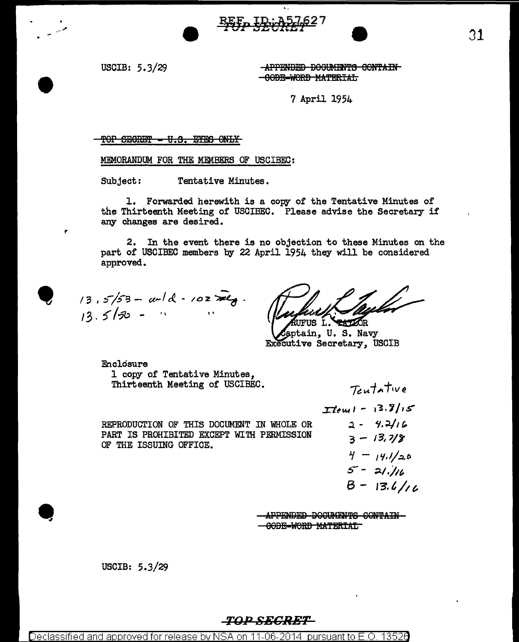USCIB: 5.3/29

**-APPENDED DOCUMENTS CONTAIN** -GODE-WORD MATERIAL

7 April 1954

#### TOP SECRET - V.S. EYES ONLY

MEMORANDUM FOR THE MEMBERS OF USCIBEC:

Tentative Minutes. Subject:

1. Forwarded herewith is a copy of the Tentative Minutes of the Thirteenth Meeting of USCIBEC. Please advise the Secretary if any changes are desired.

2. In the event there is no objection to these Minutes on the part of USCIBEC members by 22 April 1954 they will be considered approved.

 $13.5/53 - \alpha/4 - 102\pi G$ .  $13.5/50 - 4$ 

TUFUS L. SERVAR

aptain. U.S. Navy Executive Secretary, USCIB

Enclosure 1 copy of Tentative Minutes, Thirteenth Meeting of USCIBEC.

REPRODUCTION OF THIS DOCUMENT IN WHOLE OR PART IS PROHIBITED EXCEPT WITH PERMISSION OF THE ISSUING OFFICE.

 $T$ tewl - 13.8/15  $2 - 4.2116$  $3 - 13.7/8$  $4 - 14.1/20$  $5 - 21.116$  $B - 13.4/10$ 

Teutative

APPENDED DOCUMENTS CONTAIN-

<del>- GODE-WORD MATERIAL</del>

USCIB: 5.3/29

#### *TOP SECRET*

Declassified and approved for release by NSA on 11-06-2014 pursuant to E.O. 13526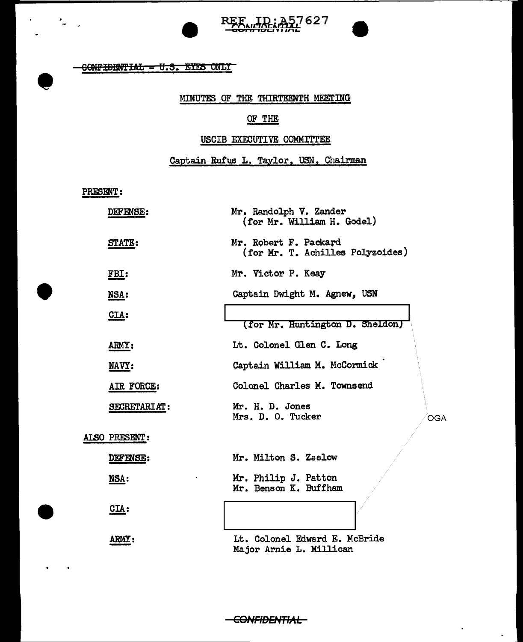

~~t...JAtirM,7 62 7 **bUI h ILICI** *'111"\L.* 

#### CONFIDENTIAL - U.S. EYES ONLY

## MINUTES OF THE THIRTEENTH MEETING

## OF THE

## USCIB EXECUTIVE COMMITTEE

# Captain Rufus L. Taylor. USN. Chairman

PRESENT:

•

 $\overline{\phantom{a}}$ 

•

| DEFENSE:      | Mr. Randolph V. Zander<br>(for Mr. William H. Godel)      |
|---------------|-----------------------------------------------------------|
| <b>STATE:</b> | Mr. Robert F. Packard<br>(for Mr. T. Achilles Polyzoides) |
| FBI:          | Mr. Victor P. Keay                                        |
| NSA:          | Captain Dwight M. Agnew, USN                              |
| CLA:          | (for Mr. Huntington D. Sheldon)                           |
| <b>ARMY:</b>  | Lt. Colonel Glen C. Long                                  |
| NAVY:         | Captain William M. McCormick                              |
| AIR FORCE:    | Colonel Charles M. Townsend                               |
| SECRETARIAT:  | Mr. H. D. Jones<br>Mrs. D. O. Tucker<br><b>OGA</b>        |
| ALSO PRESENT: |                                                           |
| DEFENSE:      | Mr. Milton S. Zaslow                                      |
| NSA:          | Mr. Philip J. Patton<br>Mr. Benson K. Buffham             |
| CLA:          |                                                           |
| <b>ARMY</b>   | Lt. Colonel Edward E. McBride<br>Major Arnie L. Millican  |

-CONFIDENTIAL-

 $\ddot{\phantom{0}}$ 

 $\omega$